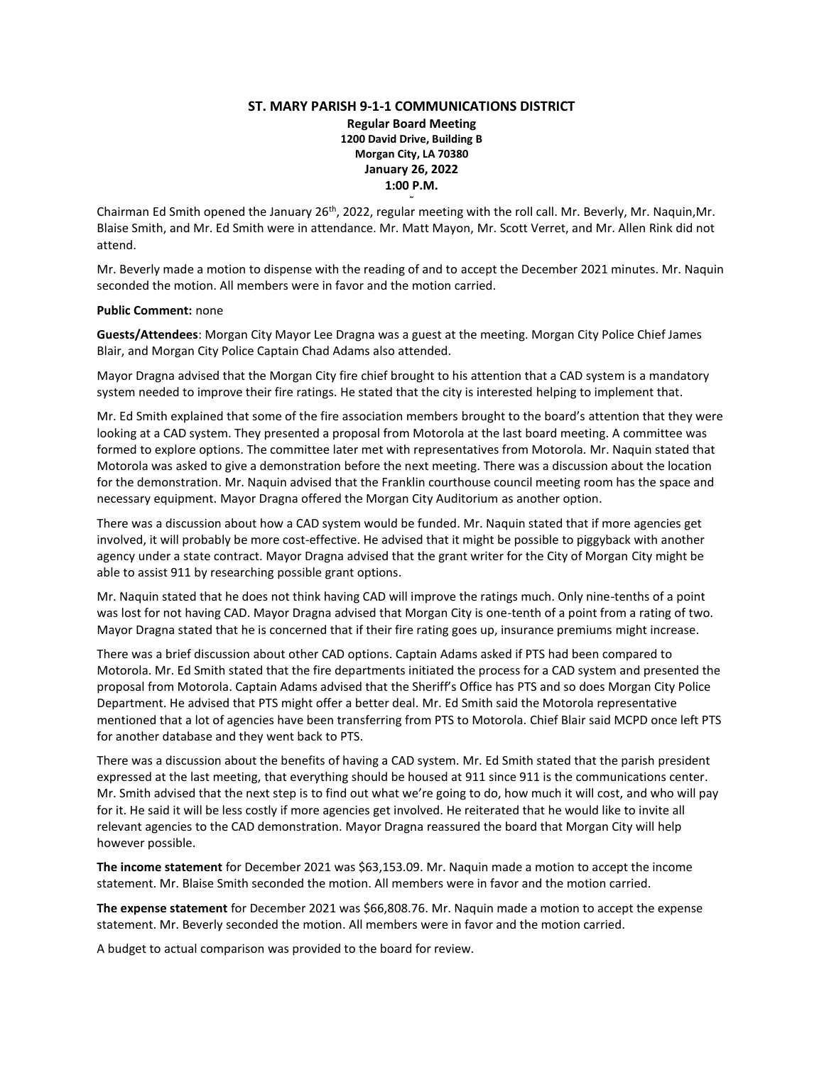## **ST. MARY PARISH 9-1-1 COMMUNICATIONS DISTRICT Regular Board Meeting 1200 David Drive, Building B Morgan City, LA 70380 January 26, 2022 1:00 P.M. ~**

Chairman Ed Smith opened the January 26th, 2022, regular meeting with the roll call. Mr. Beverly, Mr. Naquin,Mr. Blaise Smith, and Mr. Ed Smith were in attendance. Mr. Matt Mayon, Mr. Scott Verret, and Mr. Allen Rink did not attend.

Mr. Beverly made a motion to dispense with the reading of and to accept the December 2021 minutes. Mr. Naquin seconded the motion. All members were in favor and the motion carried.

## **Public Comment:** none

**Guests/Attendees**: Morgan City Mayor Lee Dragna was a guest at the meeting. Morgan City Police Chief James Blair, and Morgan City Police Captain Chad Adams also attended.

Mayor Dragna advised that the Morgan City fire chief brought to his attention that a CAD system is a mandatory system needed to improve their fire ratings. He stated that the city is interested helping to implement that.

Mr. Ed Smith explained that some of the fire association members brought to the board's attention that they were looking at a CAD system. They presented a proposal from Motorola at the last board meeting. A committee was formed to explore options. The committee later met with representatives from Motorola. Mr. Naquin stated that Motorola was asked to give a demonstration before the next meeting. There was a discussion about the location for the demonstration. Mr. Naquin advised that the Franklin courthouse council meeting room has the space and necessary equipment. Mayor Dragna offered the Morgan City Auditorium as another option.

There was a discussion about how a CAD system would be funded. Mr. Naquin stated that if more agencies get involved, it will probably be more cost-effective. He advised that it might be possible to piggyback with another agency under a state contract. Mayor Dragna advised that the grant writer for the City of Morgan City might be able to assist 911 by researching possible grant options.

Mr. Naquin stated that he does not think having CAD will improve the ratings much. Only nine-tenths of a point was lost for not having CAD. Mayor Dragna advised that Morgan City is one-tenth of a point from a rating of two. Mayor Dragna stated that he is concerned that if their fire rating goes up, insurance premiums might increase.

There was a brief discussion about other CAD options. Captain Adams asked if PTS had been compared to Motorola. Mr. Ed Smith stated that the fire departments initiated the process for a CAD system and presented the proposal from Motorola. Captain Adams advised that the Sheriff's Office has PTS and so does Morgan City Police Department. He advised that PTS might offer a better deal. Mr. Ed Smith said the Motorola representative mentioned that a lot of agencies have been transferring from PTS to Motorola. Chief Blair said MCPD once left PTS for another database and they went back to PTS.

There was a discussion about the benefits of having a CAD system. Mr. Ed Smith stated that the parish president expressed at the last meeting, that everything should be housed at 911 since 911 is the communications center. Mr. Smith advised that the next step is to find out what we're going to do, how much it will cost, and who will pay for it. He said it will be less costly if more agencies get involved. He reiterated that he would like to invite all relevant agencies to the CAD demonstration. Mayor Dragna reassured the board that Morgan City will help however possible.

**The income statement** for December 2021 was \$63,153.09. Mr. Naquin made a motion to accept the income statement. Mr. Blaise Smith seconded the motion. All members were in favor and the motion carried.

**The expense statement** for December 2021 was \$66,808.76. Mr. Naquin made a motion to accept the expense statement. Mr. Beverly seconded the motion. All members were in favor and the motion carried.

A budget to actual comparison was provided to the board for review.